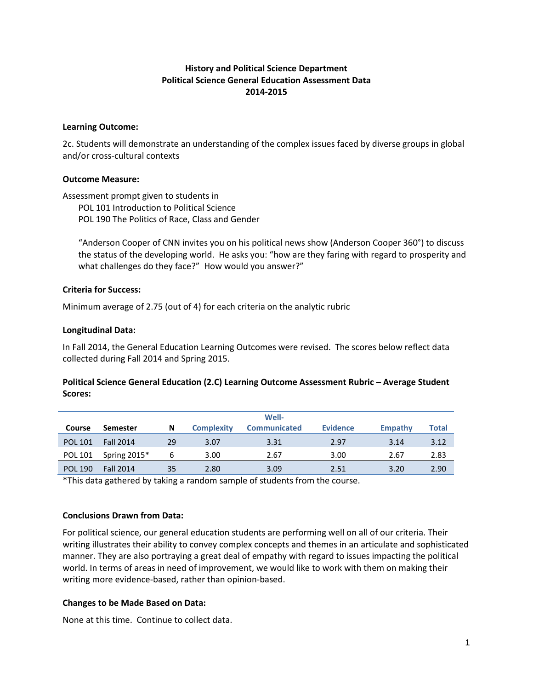# **History and Political Science Department Political Science General Education Assessment Data 2014-2015**

#### **Learning Outcome:**

2c. Students will demonstrate an understanding of the complex issues faced by diverse groups in global and/or cross-cultural contexts

### **Outcome Measure:**

Assessment prompt given to students in POL 101 Introduction to Political Science

POL 190 The Politics of Race, Class and Gender

"Anderson Cooper of CNN invites you on his political news show (Anderson Cooper 360°) to discuss the status of the developing world. He asks you: "how are they faring with regard to prosperity and what challenges do they face?" How would you answer?"

### **Criteria for Success:**

Minimum average of 2.75 (out of 4) for each criteria on the analytic rubric

### **Longitudinal Data:**

In Fall 2014, the General Education Learning Outcomes were revised. The scores below reflect data collected during Fall 2014 and Spring 2015.

# **Political Science General Education (2.C) Learning Outcome Assessment Rubric – Average Student Scores:**

|                |                  |    |                   | Well-               |                 |         |       |
|----------------|------------------|----|-------------------|---------------------|-----------------|---------|-------|
| Course         | Semester         | N  | <b>Complexity</b> | <b>Communicated</b> | <b>Evidence</b> | Empathy | Total |
| <b>POL 101</b> | <b>Fall 2014</b> | 29 | 3.07              | 3.31                | 2.97            | 3.14    | 3.12  |
| <b>POL 101</b> | Spring $2015*$   | 6  | 3.00              | 2.67                | 3.00            | 2.67    | 2.83  |
| <b>POL 190</b> | <b>Fall 2014</b> | 35 | 2.80              | 3.09                | 2.51            | 3.20    | 2.90  |

\*This data gathered by taking a random sample of students from the course.

#### **Conclusions Drawn from Data:**

For political science, our general education students are performing well on all of our criteria. Their writing illustrates their ability to convey complex concepts and themes in an articulate and sophisticated manner. They are also portraying a great deal of empathy with regard to issues impacting the political world. In terms of areas in need of improvement, we would like to work with them on making their writing more evidence-based, rather than opinion-based.

### **Changes to be Made Based on Data:**

None at this time. Continue to collect data.